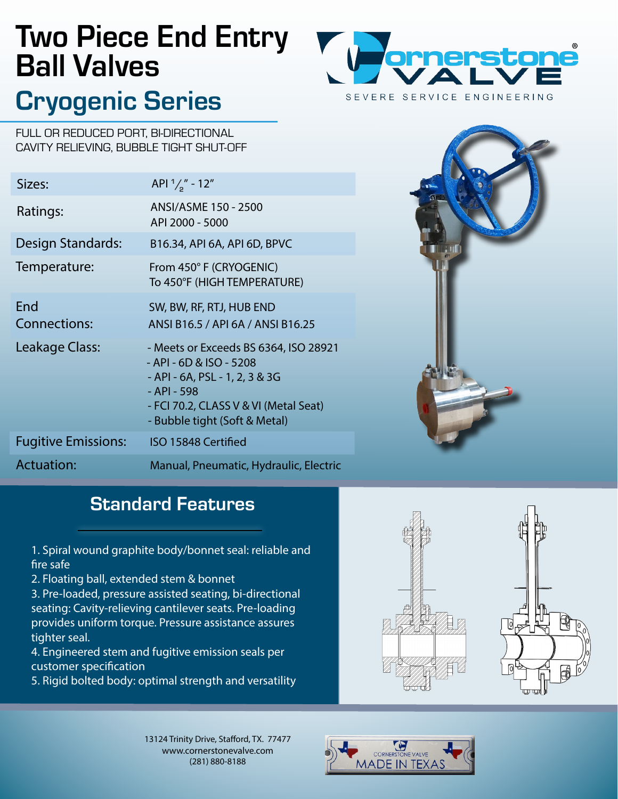# Two Piece End Entry Ball Valves

## Cryogenic Series



FULL OR REDUCED PORT, BI-DIRECTIONAL CAVITY RELIEVING, BUBBLE TIGHT SHUT-OFF

| Sizes:                     | API $\frac{1}{2}$ " - 12"                                                                                                                                                                   |
|----------------------------|---------------------------------------------------------------------------------------------------------------------------------------------------------------------------------------------|
| Ratings:                   | ANSI/ASME 150 - 2500<br>API 2000 - 5000                                                                                                                                                     |
| Design Standards:          | B16.34, API 6A, API 6D, BPVC                                                                                                                                                                |
| Temperature:               | From 450° F (CRYOGENIC)<br>To 450°F (HIGH TEMPERATURE)                                                                                                                                      |
| End<br><b>Connections:</b> | SW, BW, RF, RTJ, HUB END<br>ANSI B16.5 / API 6A / ANSI B16.25                                                                                                                               |
| Leakage Class:             | - Meets or Exceeds BS 6364, ISO 28921<br>- API - 6D & ISO - 5208<br>- API - 6A, PSL - 1, 2, 3 & 3G<br>- API - 598<br>- FCI 70.2, CLASS V & VI (Metal Seat)<br>- Bubble tight (Soft & Metal) |
| <b>Fugitive Emissions:</b> | ISO 15848 Certified                                                                                                                                                                         |
| <b>Actuation:</b>          | Manual, Pneumatic, Hydraulic, Electric                                                                                                                                                      |



### **Standard Features**

1. Spiral wound graphite body/bonnet seal: reliable and fire safe

2. Floating ball, extended stem & bonnet

3. Pre-loaded, pressure assisted seating, bi-directional seating: Cavity-relieving cantilever seats. Pre-loading provides uniform torque. Pressure assistance assures tighter seal.

4. Engineered stem and fugitive emission seals per customer specification

5. Rigid bolted body: optimal strength and versatility



13124 Trinity Drive, Stafford, TX. 77477 www.cornerstonevalve.com (281) 880-8188